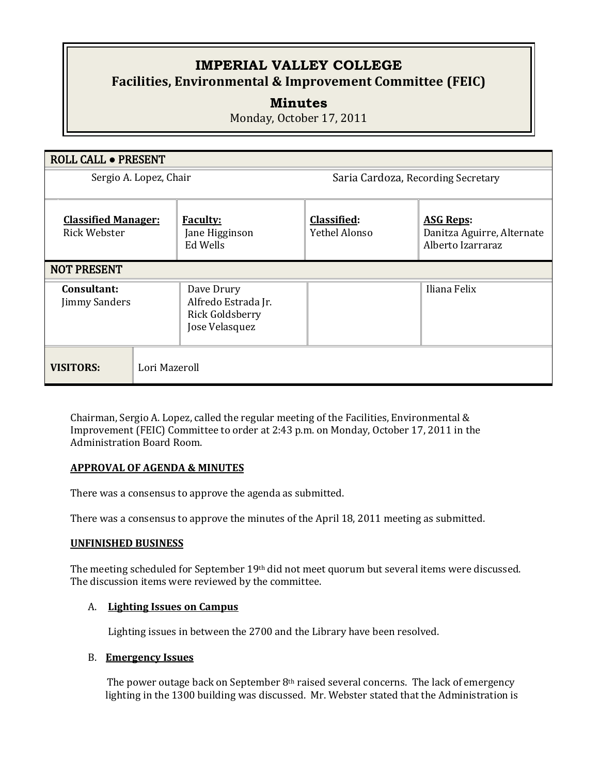# **IMPERIAL VALLEY COLLEGE Facilities, Environmental & Improvement Committee (FEIC)**

# **Minutes**

Monday, October 17, 2011

| ROLL CALL . PRESENT                        |                                                                        |                                     |                                                                     |
|--------------------------------------------|------------------------------------------------------------------------|-------------------------------------|---------------------------------------------------------------------|
| Sergio A. Lopez, Chair                     |                                                                        | Saria Cardoza, Recording Secretary  |                                                                     |
| <b>Classified Manager:</b><br>Rick Webster | <b>Faculty:</b><br>Jane Higginson<br>Ed Wells                          | <b>Classified:</b><br>Yethel Alonso | <b>ASG Reps:</b><br>Danitza Aguirre, Alternate<br>Alberto Izarraraz |
| <b>NOT PRESENT</b>                         |                                                                        |                                     |                                                                     |
| Consultant:<br><b>Jimmy Sanders</b>        | Dave Drury<br>Alfredo Estrada Jr.<br>Rick Goldsberry<br>Jose Velasquez |                                     | Iliana Felix                                                        |
| Lori Mazeroll<br><b>VISITORS:</b>          |                                                                        |                                     |                                                                     |

Chairman, Sergio A. Lopez, called the regular meeting of the Facilities, Environmental & Improvement (FEIC) Committee to order at 2:43 p.m. on Monday, October 17, 2011 in the Administration Board Room.

#### **APPROVAL OF AGENDA & MINUTES**

There was a consensus to approve the agenda as submitted.

There was a consensus to approve the minutes of the April 18, 2011 meeting as submitted.

#### **UNFINISHED BUSINESS**

The meeting scheduled for September 19th did not meet quorum but several items were discussed. The discussion items were reviewed by the committee.

#### A. **Lighting Issues on Campus**

Lighting issues in between the 2700 and the Library have been resolved.

#### B. **Emergency Issues**

The power outage back on September 8th raised several concerns. The lack of emergency lighting in the 1300 building was discussed. Mr. Webster stated that the Administration is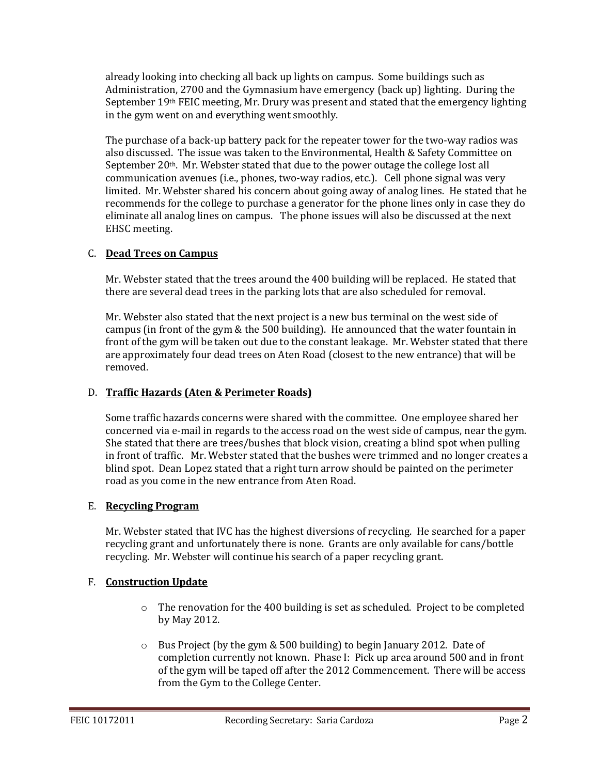already looking into checking all back up lights on campus. Some buildings such as Administration, 2700 and the Gymnasium have emergency (back up) lighting. During the September 19th FEIC meeting, Mr. Drury was present and stated that the emergency lighting in the gym went on and everything went smoothly.

The purchase of a back-up battery pack for the repeater tower for the two-way radios was also discussed. The issue was taken to the Environmental, Health & Safety Committee on September  $20<sup>th</sup>$ . Mr. Webster stated that due to the power outage the college lost all communication avenues (i.e., phones, two-way radios, etc.). Cell phone signal was very limited. Mr. Webster shared his concern about going away of analog lines. He stated that he recommends for the college to purchase a generator for the phone lines only in case they do eliminate all analog lines on campus. The phone issues will also be discussed at the next EHSC meeting.

#### C. **Dead Trees on Campus**

Mr. Webster stated that the trees around the 400 building will be replaced. He stated that there are several dead trees in the parking lots that are also scheduled for removal.

Mr. Webster also stated that the next project is a new bus terminal on the west side of campus (in front of the gym & the 500 building). He announced that the water fountain in front of the gym will be taken out due to the constant leakage. Mr. Webster stated that there are approximately four dead trees on Aten Road (closest to the new entrance) that will be removed.

## D. **Traffic Hazards (Aten & Perimeter Roads)**

Some traffic hazards concerns were shared with the committee. One employee shared her concerned via e-mail in regards to the access road on the west side of campus, near the gym. She stated that there are trees/bushes that block vision, creating a blind spot when pulling in front of traffic. Mr. Webster stated that the bushes were trimmed and no longer creates a blind spot. Dean Lopez stated that a right turn arrow should be painted on the perimeter road as you come in the new entrance from Aten Road.

#### E. **Recycling Program**

Mr. Webster stated that IVC has the highest diversions of recycling. He searched for a paper recycling grant and unfortunately there is none. Grants are only available for cans/bottle recycling. Mr. Webster will continue his search of a paper recycling grant.

## F. **Construction Update**

- $\circ$  The renovation for the 400 building is set as scheduled. Project to be completed by May 2012.
- o Bus Project (by the gym & 500 building) to begin January 2012. Date of completion currently not known. Phase I: Pick up area around 500 and in front of the gym will be taped off after the 2012 Commencement. There will be access from the Gym to the College Center.